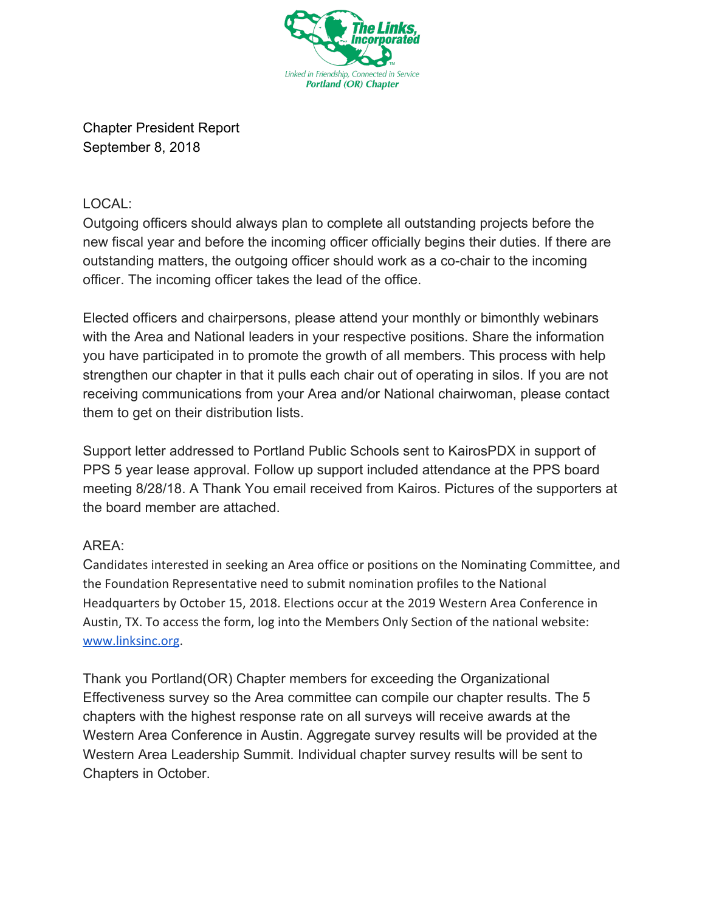

Chapter President Report September 8, 2018

## LOCAL:

Outgoing officers should always plan to complete all outstanding projects before the new fiscal year and before the incoming officer officially begins their duties. If there are outstanding matters, the outgoing officer should work as a co-chair to the incoming officer. The incoming officer takes the lead of the office.

Elected officers and chairpersons, please attend your monthly or bimonthly webinars with the Area and National leaders in your respective positions. Share the information you have participated in to promote the growth of all members. This process with help strengthen our chapter in that it pulls each chair out of operating in silos. If you are not receiving communications from your Area and/or National chairwoman, please contact them to get on their distribution lists.

Support letter addressed to Portland Public Schools sent to KairosPDX in support of PPS 5 year lease approval. Follow up support included attendance at the PPS board meeting 8/28/18. A Thank You email received from Kairos. Pictures of the supporters at the board member are attached.

## AREA:

Candidates interested in seeking an Area office or positions on the Nominating Committee, and the Foundation Representative need to submit nomination profiles to the National Headquarters by October 15, 2018. Elections occur at the 2019 Western Area Conference in Austin, TX. To access the form, log into the Members Only Section of the national website: [www.linksinc.org](http://linksinc.informz.net/z/cjUucD9taT03ODE5MTkyJnA9MSZ1PTEwMTIzNTg5NTAmbGk9NTcwNDYyNDk/index.html).

Thank you Portland(OR) Chapter members for exceeding the Organizational Effectiveness survey so the Area committee can compile our chapter results. The 5 chapters with the highest response rate on all surveys will receive awards at the Western Area Conference in Austin. Aggregate survey results will be provided at the Western Area Leadership Summit. Individual chapter survey results will be sent to Chapters in October.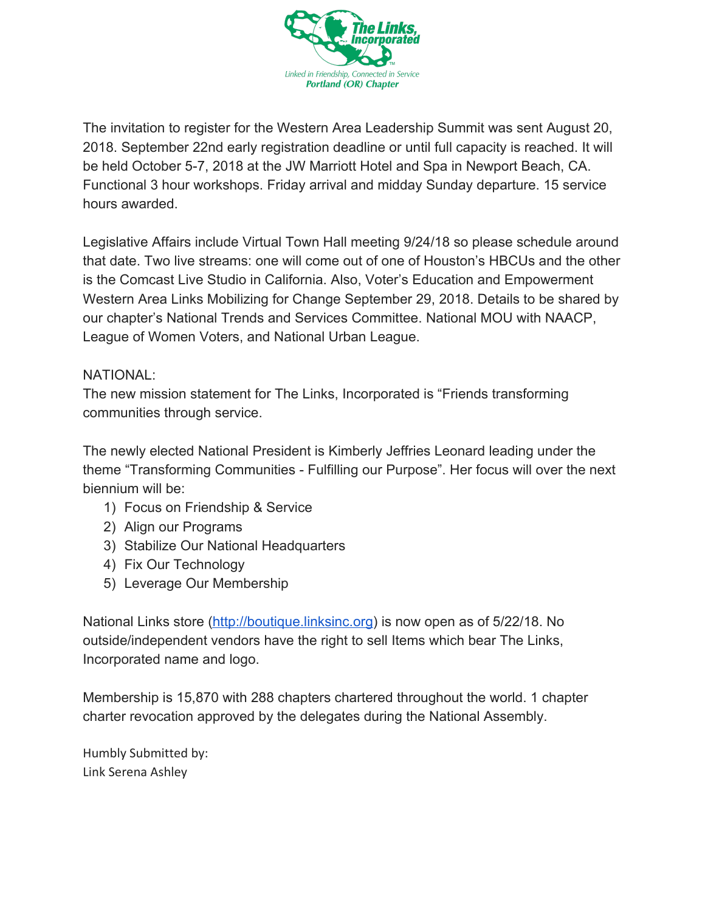

The invitation to register for the Western Area Leadership Summit was sent August 20, 2018. September 22nd early registration deadline or until full capacity is reached. It will be held October 5-7, 2018 at the JW Marriott Hotel and Spa in Newport Beach, CA. Functional 3 hour workshops. Friday arrival and midday Sunday departure. 15 service hours awarded.

Legislative Affairs include Virtual Town Hall meeting 9/24/18 so please schedule around that date. Two live streams: one will come out of one of Houston's HBCUs and the other is the Comcast Live Studio in California. Also, Voter's Education and Empowerment Western Area Links Mobilizing for Change September 29, 2018. Details to be shared by our chapter's National Trends and Services Committee. National MOU with NAACP, League of Women Voters, and National Urban League.

## NATIONAL:

The new mission statement for The Links, Incorporated is "Friends transforming communities through service.

The newly elected National President is Kimberly Jeffries Leonard leading under the theme "Transforming Communities - Fulfilling our Purpose". Her focus will over the next biennium will be:

- 1) Focus on Friendship & Service
- 2) Align our Programs
- 3) Stabilize Our National Headquarters
- 4) Fix Our Technology
- 5) Leverage Our Membership

National Links store [\(http://boutique.linksinc.org](http://boutique.linksinc.org/)) is now open as of 5/22/18. No outside/independent vendors have the right to sell Items which bear The Links, Incorporated name and logo.

Membership is 15,870 with 288 chapters chartered throughout the world. 1 chapter charter revocation approved by the delegates during the National Assembly.

Humbly Submitted by: Link Serena Ashley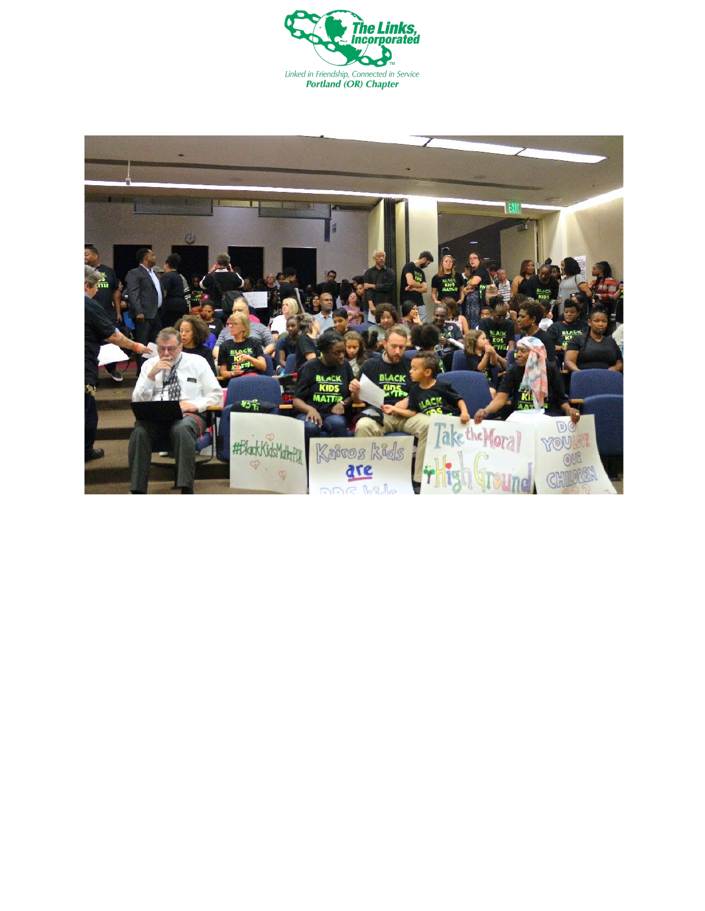

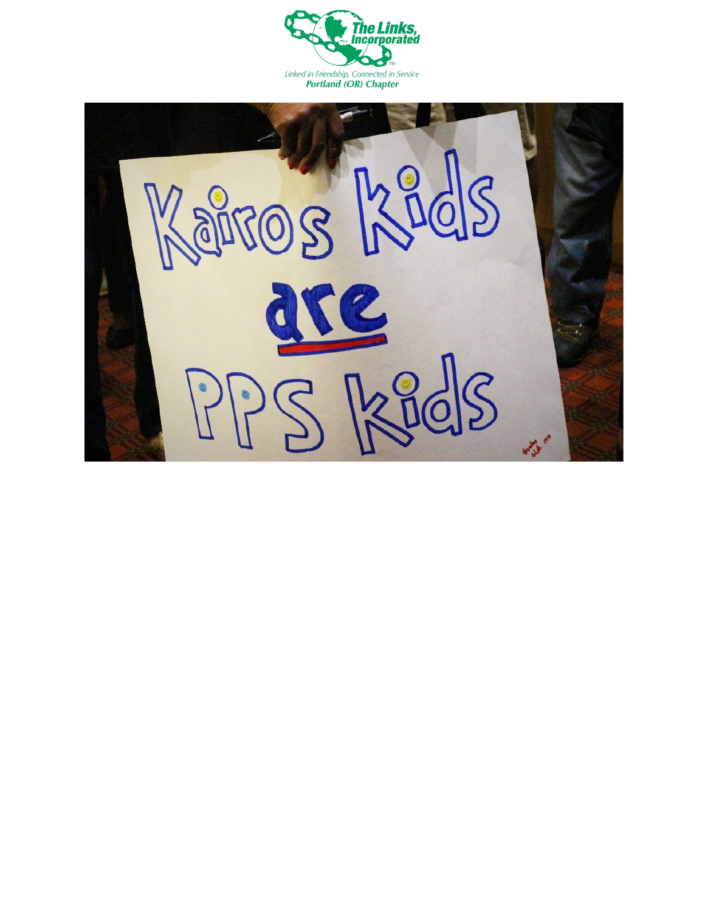

 $\overline{\mathbf{Q}}$ 3 308 are R Re  $\overline{\mathbb{S}}$  $\bullet$ **Gard**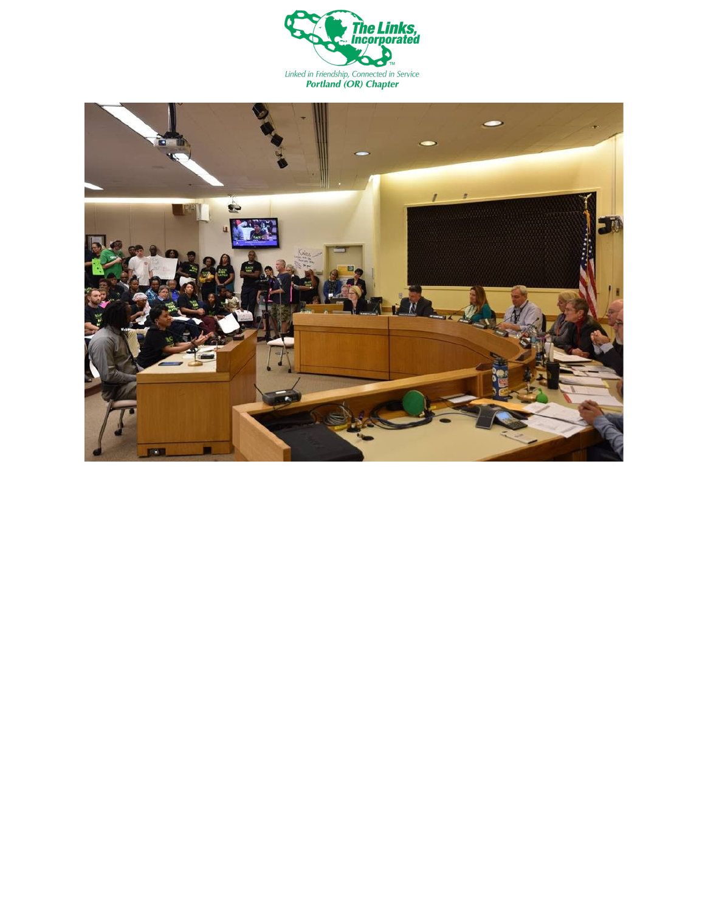